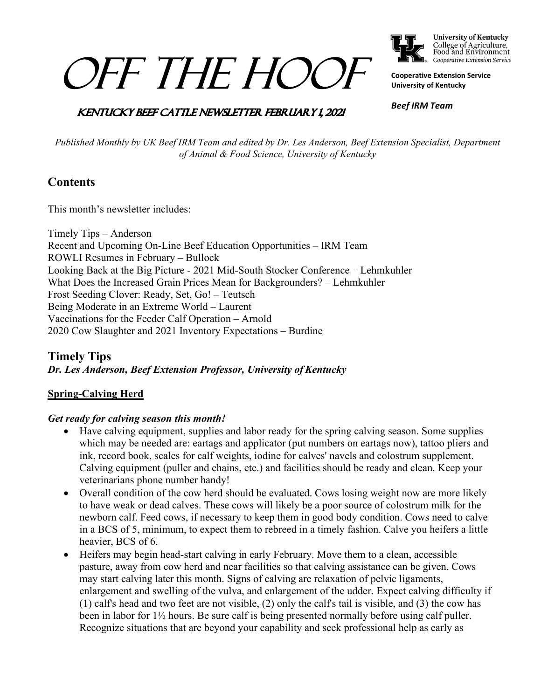# OFF THE HOOF



College of Agriculture,<br>Food and Environment Cooperative Extension Service

**Cooperative Extension Service University of Kentucky**

## **KENTUCKY BEEF CATTLE NEWSLETTER FEBRUARY 1, 2021**

*Beef IRM Team*

*Published Monthly by UK Beef IRM Team and edited by Dr. Les Anderson, Beef Extension Specialist, Department of Animal & Food Science, University of Kentucky*

# **Contents**

This month's newsletter includes:

Timely Tips – Anderson Recent and Upcoming On-Line Beef Education Opportunities – IRM Team ROWLI Resumes in February – Bullock Looking Back at the Big Picture - 2021 Mid-South Stocker Conference – Lehmkuhler What Does the Increased Grain Prices Mean for Backgrounders? – Lehmkuhler Frost Seeding Clover: Ready, Set, Go! – Teutsch Being Moderate in an Extreme World – Laurent Vaccinations for the Feeder Calf Operation – Arnold 2020 Cow Slaughter and 2021 Inventory Expectations – Burdine

# **Timely Tips** *Dr. Les Anderson, Beef Extension Professor, University of Kentucky*

## **Spring-Calving Herd**

## *Get ready for calving season this month!*

- Have calving equipment, supplies and labor ready for the spring calving season. Some supplies which may be needed are: eartags and applicator (put numbers on eartags now), tattoo pliers and ink, record book, scales for calf weights, iodine for calves' navels and colostrum supplement. Calving equipment (puller and chains, etc.) and facilities should be ready and clean. Keep your veterinarians phone number handy!
- Overall condition of the cow herd should be evaluated. Cows losing weight now are more likely to have weak or dead calves. These cows will likely be a poor source of colostrum milk for the newborn calf. Feed cows, if necessary to keep them in good body condition. Cows need to calve in a BCS of 5, minimum, to expect them to rebreed in a timely fashion. Calve you heifers a little heavier, BCS of 6.
- Heifers may begin head-start calving in early February. Move them to a clean, accessible pasture, away from cow herd and near facilities so that calving assistance can be given. Cows may start calving later this month. Signs of calving are relaxation of pelvic ligaments, enlargement and swelling of the vulva, and enlargement of the udder. Expect calving difficulty if (1) calf's head and two feet are not visible, (2) only the calf's tail is visible, and (3) the cow has been in labor for 1½ hours. Be sure calf is being presented normally before using calf puller. Recognize situations that are beyond your capability and seek professional help as early as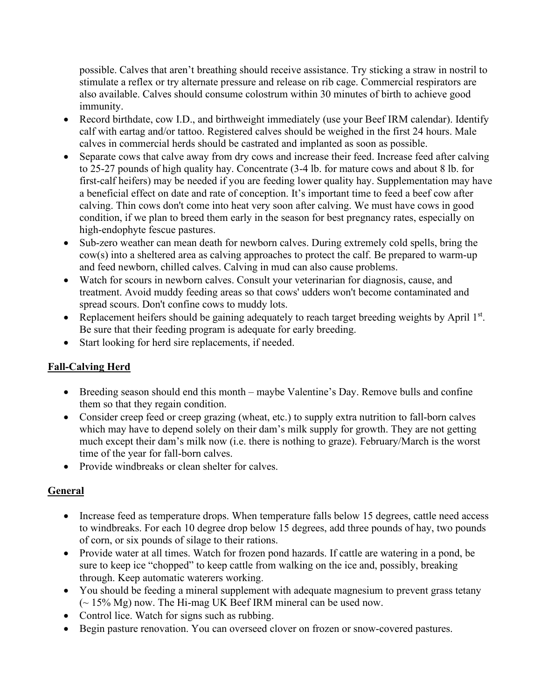possible. Calves that aren't breathing should receive assistance. Try sticking a straw in nostril to stimulate a reflex or try alternate pressure and release on rib cage. Commercial respirators are also available. Calves should consume colostrum within 30 minutes of birth to achieve good immunity.

- Record birthdate, cow I.D., and birthweight immediately (use your Beef IRM calendar). Identify calf with eartag and/or tattoo. Registered calves should be weighed in the first 24 hours. Male calves in commercial herds should be castrated and implanted as soon as possible.
- Separate cows that calve away from dry cows and increase their feed. Increase feed after calving to 25-27 pounds of high quality hay. Concentrate (3-4 lb. for mature cows and about 8 lb. for first-calf heifers) may be needed if you are feeding lower quality hay. Supplementation may have a beneficial effect on date and rate of conception. It's important time to feed a beef cow after calving. Thin cows don't come into heat very soon after calving. We must have cows in good condition, if we plan to breed them early in the season for best pregnancy rates, especially on high-endophyte fescue pastures.
- Sub-zero weather can mean death for newborn calves. During extremely cold spells, bring the cow(s) into a sheltered area as calving approaches to protect the calf. Be prepared to warm-up and feed newborn, chilled calves. Calving in mud can also cause problems.
- Watch for scours in newborn calves. Consult your veterinarian for diagnosis, cause, and treatment. Avoid muddy feeding areas so that cows' udders won't become contaminated and spread scours. Don't confine cows to muddy lots.
- Replacement heifers should be gaining adequately to reach target breeding weights by April 1<sup>st</sup>. Be sure that their feeding program is adequate for early breeding.
- Start looking for herd sire replacements, if needed.

# **Fall-Calving Herd**

- Breeding season should end this month maybe Valentine's Day. Remove bulls and confine them so that they regain condition.
- Consider creep feed or creep grazing (wheat, etc.) to supply extra nutrition to fall-born calves which may have to depend solely on their dam's milk supply for growth. They are not getting much except their dam's milk now (i.e. there is nothing to graze). February/March is the worst time of the year for fall-born calves.
- Provide windbreaks or clean shelter for calves.

# **General**

- Increase feed as temperature drops. When temperature falls below 15 degrees, cattle need access to windbreaks. For each 10 degree drop below 15 degrees, add three pounds of hay, two pounds of corn, or six pounds of silage to their rations.
- Provide water at all times. Watch for frozen pond hazards. If cattle are watering in a pond, be sure to keep ice "chopped" to keep cattle from walking on the ice and, possibly, breaking through. Keep automatic waterers working.
- You should be feeding a mineral supplement with adequate magnesium to prevent grass tetany  $\sim$  15% Mg) now. The Hi-mag UK Beef IRM mineral can be used now.
- Control lice. Watch for signs such as rubbing.
- Begin pasture renovation. You can overseed clover on frozen or snow-covered pastures.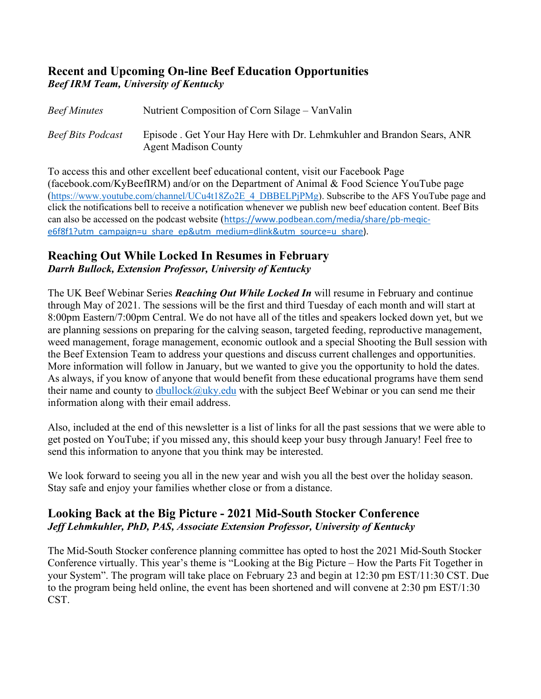# **Recent and Upcoming On-line Beef Education Opportunities** *Beef IRM Team, University of Kentucky*

| <b>Beef Minutes</b>      | Nutrient Composition of Corn Silage – Van Valin                                                       |
|--------------------------|-------------------------------------------------------------------------------------------------------|
| <b>Beef Bits Podcast</b> | Episode . Get Your Hay Here with Dr. Lehmkuhler and Brandon Sears, ANR<br><b>Agent Madison County</b> |

To access this and other excellent beef educational content, visit our Facebook Page (facebook.com/KyBeefIRM) and/or on the Department of Animal & Food Science YouTube page [\(https://www.youtube.com/channel/UCu4t18Zo2E\\_4\\_DBBELPjPMg\)](https://www.youtube.com/channel/UCu4t18Zo2E_4_DBBELPjPMg). Subscribe to the AFS YouTube page and click the notifications bell to receive a notification whenever we publish new beef education content. Beef Bits can also be accessed on the podcast website ([https://www.podbean.com/media/share/pb-meqic](https://www.podbean.com/media/share/pb-meqic-e6f8f1?utm_campaign=u_share_ep&utm_medium=dlink&utm_source=u_share)[e6f8f1?utm\\_campaign=u\\_share\\_ep&utm\\_medium=dlink&utm\\_source=u\\_share\)](https://www.podbean.com/media/share/pb-meqic-e6f8f1?utm_campaign=u_share_ep&utm_medium=dlink&utm_source=u_share).

# **Reaching Out While Locked In Resumes in February** *Darrh Bullock, Extension Professor, University of Kentucky*

The UK Beef Webinar Series *Reaching Out While Locked In* will resume in February and continue through May of 2021. The sessions will be the first and third Tuesday of each month and will start at 8:00pm Eastern/7:00pm Central. We do not have all of the titles and speakers locked down yet, but we are planning sessions on preparing for the calving season, targeted feeding, reproductive management, weed management, forage management, economic outlook and a special Shooting the Bull session with the Beef Extension Team to address your questions and discuss current challenges and opportunities. More information will follow in January, but we wanted to give you the opportunity to hold the dates. As always, if you know of anyone that would benefit from these educational programs have them send their name and county to [dbullock@uky.edu](mailto:dbullock@uky.edu) with the subject Beef Webinar or you can send me their information along with their email address.

Also, included at the end of this newsletter is a list of links for all the past sessions that we were able to get posted on YouTube; if you missed any, this should keep your busy through January! Feel free to send this information to anyone that you think may be interested.

We look forward to seeing you all in the new year and wish you all the best over the holiday season. Stay safe and enjoy your families whether close or from a distance.

# **Looking Back at the Big Picture - 2021 Mid-South Stocker Conference**  *Jeff Lehmkuhler, PhD, PAS, Associate Extension Professor, University of Kentucky*

The Mid-South Stocker conference planning committee has opted to host the 2021 Mid-South Stocker Conference virtually. This year's theme is "Looking at the Big Picture – How the Parts Fit Together in your System". The program will take place on February 23 and begin at 12:30 pm EST/11:30 CST. Due to the program being held online, the event has been shortened and will convene at 2:30 pm EST/1:30 CST.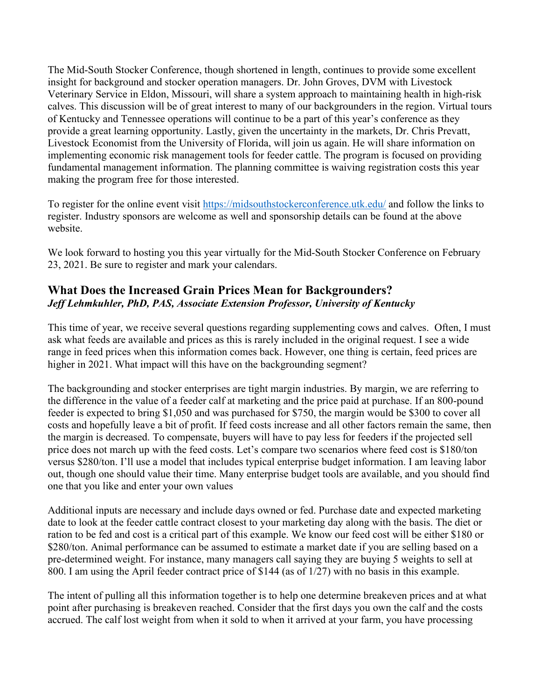The Mid-South Stocker Conference, though shortened in length, continues to provide some excellent insight for background and stocker operation managers. Dr. John Groves, DVM with Livestock Veterinary Service in Eldon, Missouri, will share a system approach to maintaining health in high-risk calves. This discussion will be of great interest to many of our backgrounders in the region. Virtual tours of Kentucky and Tennessee operations will continue to be a part of this year's conference as they provide a great learning opportunity. Lastly, given the uncertainty in the markets, Dr. Chris Prevatt, Livestock Economist from the University of Florida, will join us again. He will share information on implementing economic risk management tools for feeder cattle. The program is focused on providing fundamental management information. The planning committee is waiving registration costs this year making the program free for those interested.

To register for the online event visit<https://midsouthstockerconference.utk.edu/> and follow the links to register. Industry sponsors are welcome as well and sponsorship details can be found at the above website.

We look forward to hosting you this year virtually for the Mid-South Stocker Conference on February 23, 2021. Be sure to register and mark your calendars.

# **What Does the Increased Grain Prices Mean for Backgrounders?** *Jeff Lehmkuhler, PhD, PAS, Associate Extension Professor, University of Kentucky*

This time of year, we receive several questions regarding supplementing cows and calves. Often, I must ask what feeds are available and prices as this is rarely included in the original request. I see a wide range in feed prices when this information comes back. However, one thing is certain, feed prices are higher in 2021. What impact will this have on the backgrounding segment?

The backgrounding and stocker enterprises are tight margin industries. By margin, we are referring to the difference in the value of a feeder calf at marketing and the price paid at purchase. If an 800-pound feeder is expected to bring \$1,050 and was purchased for \$750, the margin would be \$300 to cover all costs and hopefully leave a bit of profit. If feed costs increase and all other factors remain the same, then the margin is decreased. To compensate, buyers will have to pay less for feeders if the projected sell price does not march up with the feed costs. Let's compare two scenarios where feed cost is \$180/ton versus \$280/ton. I'll use a model that includes typical enterprise budget information. I am leaving labor out, though one should value their time. Many enterprise budget tools are available, and you should find one that you like and enter your own values

Additional inputs are necessary and include days owned or fed. Purchase date and expected marketing date to look at the feeder cattle contract closest to your marketing day along with the basis. The diet or ration to be fed and cost is a critical part of this example. We know our feed cost will be either \$180 or \$280/ton. Animal performance can be assumed to estimate a market date if you are selling based on a pre-determined weight. For instance, many managers call saying they are buying 5 weights to sell at 800. I am using the April feeder contract price of \$144 (as of 1/27) with no basis in this example.

The intent of pulling all this information together is to help one determine breakeven prices and at what point after purchasing is breakeven reached. Consider that the first days you own the calf and the costs accrued. The calf lost weight from when it sold to when it arrived at your farm, you have processing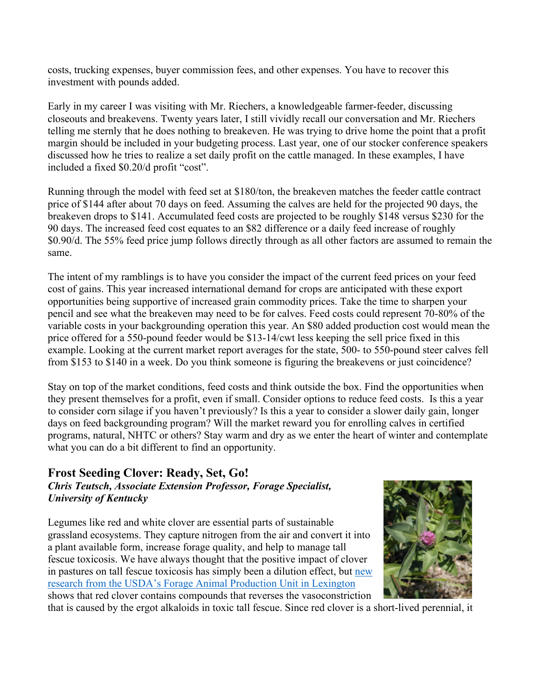costs, trucking expenses, buyer commission fees, and other expenses. You have to recover this investment with pounds added.

Early in my career I was visiting with Mr. Riechers, a knowledgeable farmer-feeder, discussing closeouts and breakevens. Twenty years later, I still vividly recall our conversation and Mr. Riechers telling me sternly that he does nothing to breakeven. He was trying to drive home the point that a profit margin should be included in your budgeting process. Last year, one of our stocker conference speakers discussed how he tries to realize a set daily profit on the cattle managed. In these examples, I have included a fixed \$0.20/d profit "cost".

Running through the model with feed set at \$180/ton, the breakeven matches the feeder cattle contract price of \$144 after about 70 days on feed. Assuming the calves are held for the projected 90 days, the breakeven drops to \$141. Accumulated feed costs are projected to be roughly \$148 versus \$230 for the 90 days. The increased feed cost equates to an \$82 difference or a daily feed increase of roughly \$0.90/d. The 55% feed price jump follows directly through as all other factors are assumed to remain the same.

The intent of my ramblings is to have you consider the impact of the current feed prices on your feed cost of gains. This year increased international demand for crops are anticipated with these export opportunities being supportive of increased grain commodity prices. Take the time to sharpen your pencil and see what the breakeven may need to be for calves. Feed costs could represent 70-80% of the variable costs in your backgrounding operation this year. An \$80 added production cost would mean the price offered for a 550-pound feeder would be \$13-14/cwt less keeping the sell price fixed in this example. Looking at the current market report averages for the state, 500- to 550-pound steer calves fell from \$153 to \$140 in a week. Do you think someone is figuring the breakevens or just coincidence?

Stay on top of the market conditions, feed costs and think outside the box. Find the opportunities when they present themselves for a profit, even if small. Consider options to reduce feed costs. Is this a year to consider corn silage if you haven't previously? Is this a year to consider a slower daily gain, longer days on feed backgrounding program? Will the market reward you for enrolling calves in certified programs, natural, NHTC or others? Stay warm and dry as we enter the heart of winter and contemplate what you can do a bit different to find an opportunity.

## **Frost Seeding Clover: Ready, Set, Go!** *Chris Teutsch, Associate Extension Professor, Forage Specialist, University of Kentucky*

Legumes like red and white clover are essential parts of sustainable grassland ecosystems. They capture nitrogen from the air and convert it into a plant available form, increase forage quality, and help to manage tall fescue toxicosis. We have always thought that the positive impact of clover in pastures on tall fescue toxicosis has simply been a dilution effect, but [new](https://www.youtube.com/watch?v=cmRuhhZp0Ho&t=838s)  [research from the USDA's Forage Animal Production Unit in Lexington](https://www.youtube.com/watch?v=cmRuhhZp0Ho&t=838s) shows that red clover contains compounds that reverses the vasoconstriction



that is caused by the ergot alkaloids in toxic tall fescue. Since red clover is a short-lived perennial, it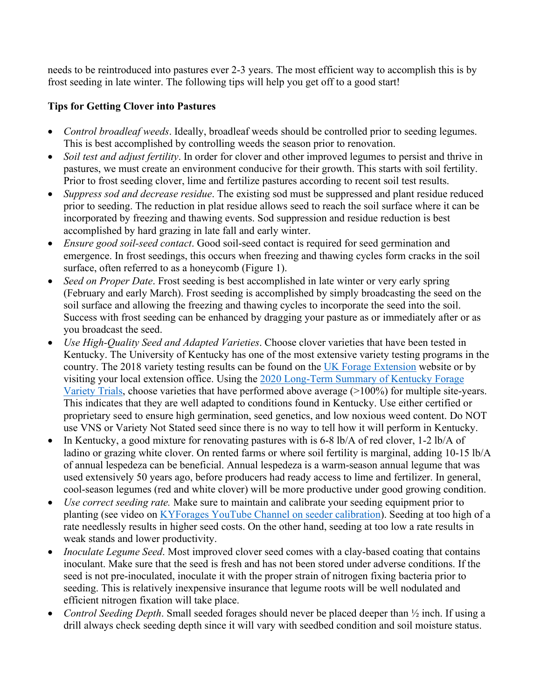needs to be reintroduced into pastures ever 2-3 years. The most efficient way to accomplish this is by frost seeding in late winter. The following tips will help you get off to a good start!

## **Tips for Getting Clover into Pastures**

- *Control broadleaf weeds*. Ideally, broadleaf weeds should be controlled prior to seeding legumes. This is best accomplished by controlling weeds the season prior to renovation.
- *Soil test and adjust fertility*. In order for clover and other improved legumes to persist and thrive in pastures, we must create an environment conducive for their growth. This starts with soil fertility. Prior to frost seeding clover, lime and fertilize pastures according to recent soil test results.
- *Suppress sod and decrease residue*. The existing sod must be suppressed and plant residue reduced prior to seeding. The reduction in plat residue allows seed to reach the soil surface where it can be incorporated by freezing and thawing events. Sod suppression and residue reduction is best accomplished by hard grazing in late fall and early winter.
- *Ensure good soil-seed contact*. Good soil-seed contact is required for seed germination and emergence. In frost seedings, this occurs when freezing and thawing cycles form cracks in the soil surface, often referred to as a honeycomb (Figure 1).
- *Seed on Proper Date*. Frost seeding is best accomplished in late winter or very early spring (February and early March). Frost seeding is accomplished by simply broadcasting the seed on the soil surface and allowing the freezing and thawing cycles to incorporate the seed into the soil. Success with frost seeding can be enhanced by dragging your pasture as or immediately after or as you broadcast the seed.
- *Use High-Quality Seed and Adapted Varieties*. Choose clover varieties that have been tested in Kentucky. The University of Kentucky has one of the most extensive variety testing programs in the country. The 2018 variety testing results can be found on the [UK Forage Extension](http://forages.ca.uky.edu/) website or by visiting your local extension office. Using the [2020 Long-Term Summary of Kentucky Forage](http://www2.ca.uky.edu/agcomm/pubs/PR/PR792/PR792.pdf)  [Variety Trials,](http://www2.ca.uky.edu/agcomm/pubs/PR/PR792/PR792.pdf) choose varieties that have performed above average (>100%) for multiple site-years. This indicates that they are well adapted to conditions found in Kentucky. Use either certified or proprietary seed to ensure high germination, seed genetics, and low noxious weed content. Do NOT use VNS or Variety Not Stated seed since there is no way to tell how it will perform in Kentucky.
- In Kentucky, a good mixture for renovating pastures with is 6-8 lb/A of red clover, 1-2 lb/A of ladino or grazing white clover. On rented farms or where soil fertility is marginal, adding 10-15 lb/A of annual lespedeza can be beneficial. Annual lespedeza is a warm-season annual legume that was used extensively 50 years ago, before producers had ready access to lime and fertilizer. In general, cool-season legumes (red and white clover) will be more productive under good growing condition.
- *Use correct seeding rate.* Make sure to maintain and calibrate your seeding equipment prior to planting (see video on [KYForages YouTube Channel on seeder calibration\)](https://www.youtube.com/watch?v=E0wSBYlJDbw&list=PLrq6psn95pUwB1wa8CjkkU6QpxzfQ6_2N&index=2). Seeding at too high of a rate needlessly results in higher seed costs. On the other hand, seeding at too low a rate results in weak stands and lower productivity.
- *Inoculate Legume Seed*. Most improved clover seed comes with a clay-based coating that contains inoculant. Make sure that the seed is fresh and has not been stored under adverse conditions. If the seed is not pre-inoculated, inoculate it with the proper strain of nitrogen fixing bacteria prior to seeding. This is relatively inexpensive insurance that legume roots will be well nodulated and efficient nitrogen fixation will take place.
- *Control Seeding Depth*. Small seeded forages should never be placed deeper than ½ inch. If using a drill always check seeding depth since it will vary with seedbed condition and soil moisture status.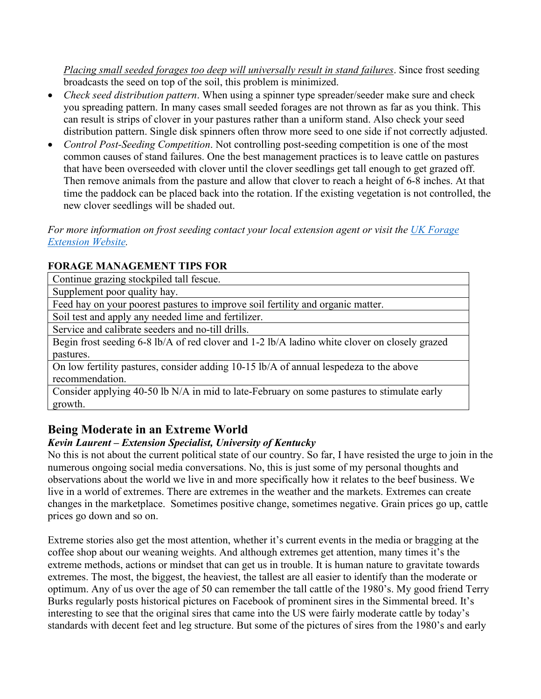*Placing small seeded forages too deep will universally result in stand failures*. Since frost seeding broadcasts the seed on top of the soil, this problem is minimized.

- *Check seed distribution pattern*. When using a spinner type spreader/seeder make sure and check you spreading pattern. In many cases small seeded forages are not thrown as far as you think. This can result is strips of clover in your pastures rather than a uniform stand. Also check your seed distribution pattern. Single disk spinners often throw more seed to one side if not correctly adjusted.
- *Control Post-Seeding Competition*. Not controlling post-seeding competition is one of the most common causes of stand failures. One the best management practices is to leave cattle on pastures that have been overseeded with clover until the clover seedlings get tall enough to get grazed off. Then remove animals from the pasture and allow that clover to reach a height of 6-8 inches. At that time the paddock can be placed back into the rotation. If the existing vegetation is not controlled, the new clover seedlings will be shaded out.

*For more information on frost seeding contact your local extension agent or visit the [UK Forage](http://forages.ca.uky.edu/)  [Extension Website.](http://forages.ca.uky.edu/)* 

## **FORAGE MANAGEMENT TIPS FOR**

Continue grazing stockpiled tall fescue.

Supplement poor quality hay.

Feed hay on your poorest pastures to improve soil fertility and organic matter.

Soil test and apply any needed lime and fertilizer.

Service and calibrate seeders and no-till drills.

Begin frost seeding 6-8 lb/A of red clover and 1-2 lb/A ladino white clover on closely grazed pastures.

On low fertility pastures, consider adding 10-15 lb/A of annual lespedeza to the above recommendation.

Consider applying 40-50 lb N/A in mid to late-February on some pastures to stimulate early growth.

# **Being Moderate in an Extreme World**

## *Kevin Laurent – Extension Specialist, University of Kentucky*

No this is not about the current political state of our country. So far, I have resisted the urge to join in the numerous ongoing social media conversations. No, this is just some of my personal thoughts and observations about the world we live in and more specifically how it relates to the beef business. We live in a world of extremes. There are extremes in the weather and the markets. Extremes can create changes in the marketplace. Sometimes positive change, sometimes negative. Grain prices go up, cattle prices go down and so on.

Extreme stories also get the most attention, whether it's current events in the media or bragging at the coffee shop about our weaning weights. And although extremes get attention, many times it's the extreme methods, actions or mindset that can get us in trouble. It is human nature to gravitate towards extremes. The most, the biggest, the heaviest, the tallest are all easier to identify than the moderate or optimum. Any of us over the age of 50 can remember the tall cattle of the 1980's. My good friend Terry Burks regularly posts historical pictures on Facebook of prominent sires in the Simmental breed. It's interesting to see that the original sires that came into the US were fairly moderate cattle by today's standards with decent feet and leg structure. But some of the pictures of sires from the 1980's and early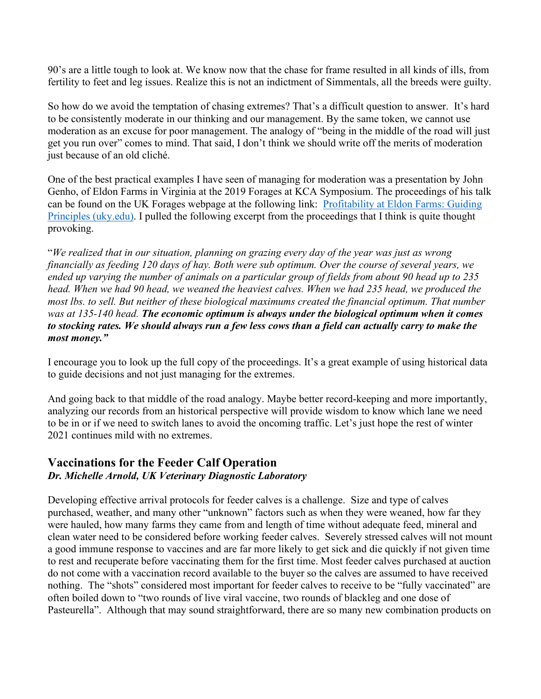90's are a little tough to look at. We know now that the chase for frame resulted in all kinds of ills, from fertility to feet and leg issues. Realize this is not an indictment of Simmentals, all the breeds were guilty.

So how do we avoid the temptation of chasing extremes? That's a difficult question to answer. It's hard to be consistently moderate in our thinking and our management. By the same token, we cannot use moderation as an excuse for poor management. The analogy of "being in the middle of the road will just get you run over" comes to mind. That said, I don't think we should write off the merits of moderation just because of an old cliché.

One of the best practical examples I have seen of managing for moderation was a presentation by John Genho, of Eldon Farms in Virginia at the 2019 Forages at KCA Symposium. The proceedings of his talk can be found on the UK Forages webpage at the following link: [Profitability at Eldon Farms: Guiding](https://uknowledge.uky.edu/cgi/viewcontent.cgi?article=1080&context=forage_kca)  [Principles \(uky.edu\).](https://uknowledge.uky.edu/cgi/viewcontent.cgi?article=1080&context=forage_kca) I pulled the following excerpt from the proceedings that I think is quite thought provoking.

"*We realized that in our situation, planning on grazing every day of the year was just as wrong financially as feeding 120 days of hay. Both were sub optimum. Over the course of several years, we ended up varying the number of animals on a particular group of fields from about 90 head up to 235 head. When we had 90 head, we weaned the heaviest calves. When we had 235 head, we produced the most lbs. to sell. But neither of these biological maximums created the financial optimum. That number was at 135-140 head. The economic optimum is always under the biological optimum when it comes to stocking rates. We should always run a few less cows than a field can actually carry to make the most money."*

I encourage you to look up the full copy of the proceedings. It's a great example of using historical data to guide decisions and not just managing for the extremes.

And going back to that middle of the road analogy. Maybe better record-keeping and more importantly, analyzing our records from an historical perspective will provide wisdom to know which lane we need to be in or if we need to switch lanes to avoid the oncoming traffic. Let's just hope the rest of winter 2021 continues mild with no extremes.

## **Vaccinations for the Feeder Calf Operation** *Dr. Michelle Arnold, UK Veterinary Diagnostic Laboratory*

Developing effective arrival protocols for feeder calves is a challenge. Size and type of calves purchased, weather, and many other "unknown" factors such as when they were weaned, how far they were hauled, how many farms they came from and length of time without adequate feed, mineral and clean water need to be considered before working feeder calves. Severely stressed calves will not mount a good immune response to vaccines and are far more likely to get sick and die quickly if not given time to rest and recuperate before vaccinating them for the first time. Most feeder calves purchased at auction do not come with a vaccination record available to the buyer so the calves are assumed to have received nothing. The "shots" considered most important for feeder calves to receive to be "fully vaccinated" are often boiled down to "two rounds of live viral vaccine, two rounds of blackleg and one dose of Pasteurella". Although that may sound straightforward, there are so many new combination products on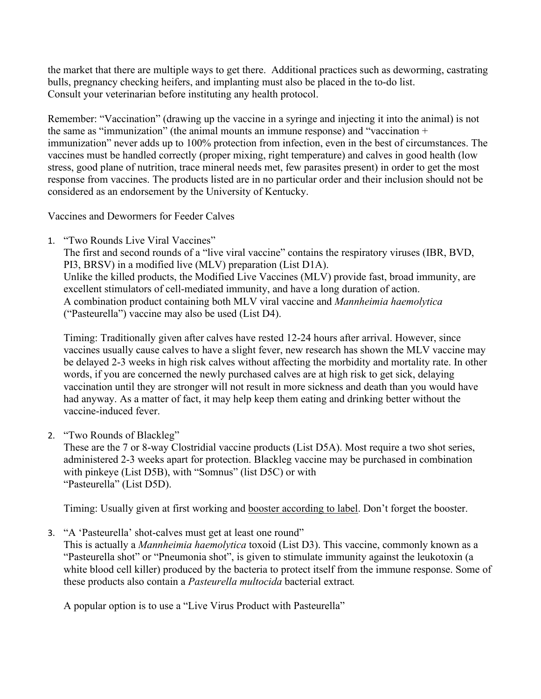the market that there are multiple ways to get there. Additional practices such as deworming, castrating bulls, pregnancy checking heifers, and implanting must also be placed in the to-do list. Consult your veterinarian before instituting any health protocol.

Remember: "Vaccination" (drawing up the vaccine in a syringe and injecting it into the animal) is not the same as "immunization" (the animal mounts an immune response) and "vaccination + immunization" never adds up to 100% protection from infection, even in the best of circumstances. The vaccines must be handled correctly (proper mixing, right temperature) and calves in good health (low stress, good plane of nutrition, trace mineral needs met, few parasites present) in order to get the most response from vaccines. The products listed are in no particular order and their inclusion should not be considered as an endorsement by the University of Kentucky.

Vaccines and Dewormers for Feeder Calves

1. "Two Rounds Live Viral Vaccines"

The first and second rounds of a "live viral vaccine" contains the respiratory viruses (IBR, BVD, PI3, BRSV) in a modified live (MLV) preparation (List D1A). Unlike the killed products, the Modified Live Vaccines (MLV) provide fast, broad immunity, are excellent stimulators of cell-mediated immunity, and have a long duration of action. A combination product containing both MLV viral vaccine and *Mannheimia haemolytica* ("Pasteurella") vaccine may also be used (List D4).

Timing: Traditionally given after calves have rested 12-24 hours after arrival. However, since vaccines usually cause calves to have a slight fever, new research has shown the MLV vaccine may be delayed 2-3 weeks in high risk calves without affecting the morbidity and mortality rate. In other words, if you are concerned the newly purchased calves are at high risk to get sick, delaying vaccination until they are stronger will not result in more sickness and death than you would have had anyway. As a matter of fact, it may help keep them eating and drinking better without the vaccine-induced fever.

2. "Two Rounds of Blackleg"

These are the 7 or 8-way Clostridial vaccine products (List D5A). Most require a two shot series, administered 2-3 weeks apart for protection. Blackleg vaccine may be purchased in combination with pinkeye (List D5B), with "Somnus" (list D5C) or with "Pasteurella" (List D5D).

Timing: Usually given at first working and booster according to label. Don't forget the booster.

3. "A 'Pasteurella' shot-calves must get at least one round"

This is actually a *Mannheimia haemolytica* toxoid (List D3). This vaccine, commonly known as a "Pasteurella shot" or "Pneumonia shot", is given to stimulate immunity against the leukotoxin (a white blood cell killer) produced by the bacteria to protect itself from the immune response. Some of these products also contain a *Pasteurella multocida* bacterial extract*.*

A popular option is to use a "Live Virus Product with Pasteurella"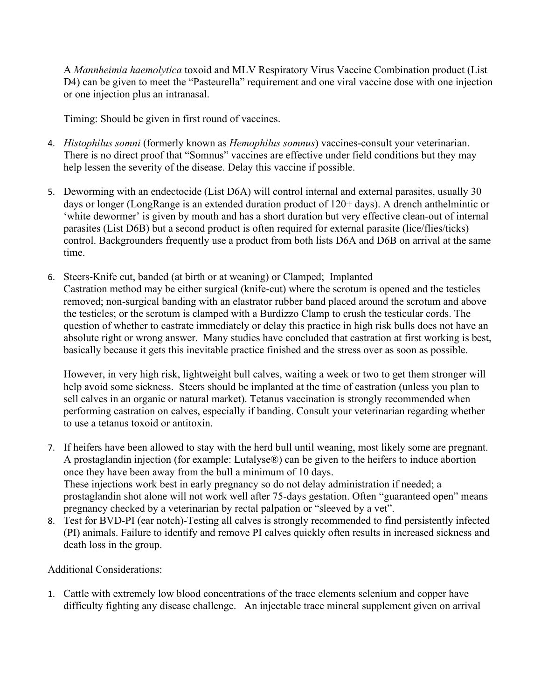A *Mannheimia haemolytica* toxoid and MLV Respiratory Virus Vaccine Combination product (List D4) can be given to meet the "Pasteurella" requirement and one viral vaccine dose with one injection or one injection plus an intranasal.

Timing: Should be given in first round of vaccines.

- 4. *Histophilus somni* (formerly known as *Hemophilus somnus*) vaccines-consult your veterinarian. There is no direct proof that "Somnus" vaccines are effective under field conditions but they may help lessen the severity of the disease. Delay this vaccine if possible.
- 5. Deworming with an endectocide (List D6A) will control internal and external parasites, usually 30 days or longer (LongRange is an extended duration product of 120+ days). A drench anthelmintic or 'white dewormer' is given by mouth and has a short duration but very effective clean-out of internal parasites (List D6B) but a second product is often required for external parasite (lice/flies/ticks) control. Backgrounders frequently use a product from both lists D6A and D6B on arrival at the same time.
- 6. Steers-Knife cut, banded (at birth or at weaning) or Clamped; Implanted Castration method may be either surgical (knife-cut) where the scrotum is opened and the testicles removed; non-surgical banding with an elastrator rubber band placed around the scrotum and above the testicles; or the scrotum is clamped with a Burdizzo Clamp to crush the testicular cords. The question of whether to castrate immediately or delay this practice in high risk bulls does not have an absolute right or wrong answer. Many studies have concluded that castration at first working is best, basically because it gets this inevitable practice finished and the stress over as soon as possible.

However, in very high risk, lightweight bull calves, waiting a week or two to get them stronger will help avoid some sickness. Steers should be implanted at the time of castration (unless you plan to sell calves in an organic or natural market). Tetanus vaccination is strongly recommended when performing castration on calves, especially if banding. Consult your veterinarian regarding whether to use a tetanus toxoid or antitoxin.

- 7. If heifers have been allowed to stay with the herd bull until weaning, most likely some are pregnant. A prostaglandin injection (for example: Lutalyse®) can be given to the heifers to induce abortion once they have been away from the bull a minimum of 10 days. These injections work best in early pregnancy so do not delay administration if needed; a prostaglandin shot alone will not work well after 75-days gestation. Often "guaranteed open" means pregnancy checked by a veterinarian by rectal palpation or "sleeved by a vet".
- 8. Test for BVD-PI (ear notch)-Testing all calves is strongly recommended to find persistently infected (PI) animals. Failure to identify and remove PI calves quickly often results in increased sickness and death loss in the group.

Additional Considerations:

1. Cattle with extremely low blood concentrations of the trace elements selenium and copper have difficulty fighting any disease challenge. An injectable trace mineral supplement given on arrival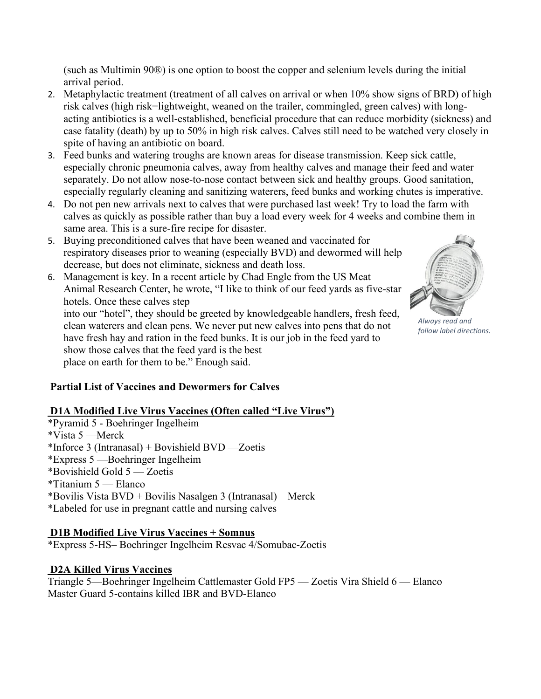(such as Multimin 90®) is one option to boost the copper and selenium levels during the initial arrival period.

- 2. Metaphylactic treatment (treatment of all calves on arrival or when 10% show signs of BRD) of high risk calves (high risk=lightweight, weaned on the trailer, commingled, green calves) with longacting antibiotics is a well-established, beneficial procedure that can reduce morbidity (sickness) and case fatality (death) by up to 50% in high risk calves. Calves still need to be watched very closely in spite of having an antibiotic on board.
- 3. Feed bunks and watering troughs are known areas for disease transmission. Keep sick cattle, especially chronic pneumonia calves, away from healthy calves and manage their feed and water separately. Do not allow nose-to-nose contact between sick and healthy groups. Good sanitation, especially regularly cleaning and sanitizing waterers, feed bunks and working chutes is imperative.
- 4. Do not pen new arrivals next to calves that were purchased last week! Try to load the farm with calves as quickly as possible rather than buy a load every week for 4 weeks and combine them in same area. This is a sure-fire recipe for disaster.
- 5. Buying preconditioned calves that have been weaned and vaccinated for respiratory diseases prior to weaning (especially BVD) and dewormed will help decrease, but does not eliminate, sickness and death loss.
- 6. Management is key. In a recent article by Chad Engle from the US Meat Animal Research Center, he wrote, "I like to think of our feed yards as five-star hotels. Once these calves step into our "hotel", they should be greeted by knowledgeable handlers, fresh feed, clean waterers and clean pens. We never put new calves into pens that do not have fresh hay and ration in the feed bunks. It is our job in the feed yard to show those calves that the feed yard is the best place on earth for them to be." Enough said.



## **D1A Modified Live Virus Vaccines (Often called "Live Virus")**

\*Pyramid 5 - Boehringer Ingelheim \*Vista 5 —Merck \*Inforce 3 (Intranasal) + Bovishield BVD —Zoetis \*Express 5 —Boehringer Ingelheim \*Bovishield Gold 5 — Zoetis \*Titanium 5 — Elanco \*Bovilis Vista BVD + Bovilis Nasalgen 3 (Intranasal)—Merck \*Labeled for use in pregnant cattle and nursing calves

## **D1B Modified Live Virus Vaccines + Somnus**

\*Express 5-HS– Boehringer Ingelheim Resvac 4/Somubac-Zoetis

## **D2A Killed Virus Vaccines**

Triangle 5—Boehringer Ingelheim Cattlemaster Gold FP5 — Zoetis Vira Shield 6 — Elanco Master Guard 5-contains killed IBR and BVD-Elanco



*Always read and follow label directions.*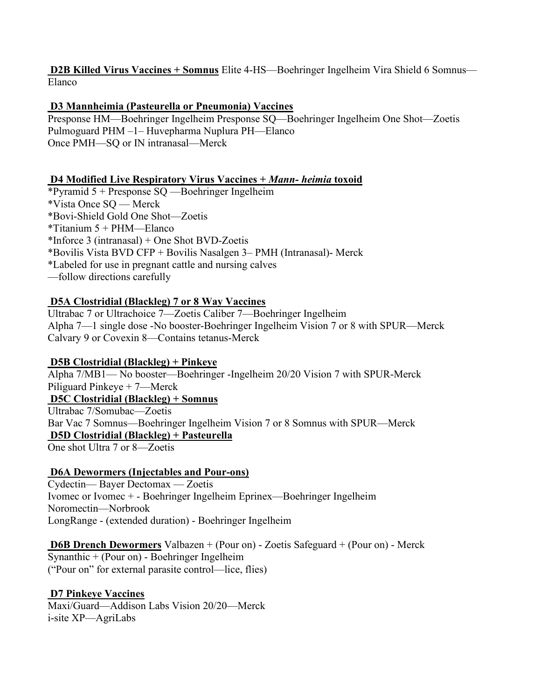**D2B Killed Virus Vaccines + Somnus** Elite 4-HS—Boehringer Ingelheim Vira Shield 6 Somnus— Elanco

## **D3 Mannheimia (Pasteurella or Pneumonia) Vaccines**

Presponse HM—Boehringer Ingelheim Presponse SQ—Boehringer Ingelheim One Shot—Zoetis Pulmoguard PHM –1– Huvepharma Nuplura PH—Elanco Once PMH—SQ or IN intranasal—Merck

## **D4 Modified Live Respiratory Virus Vaccines +** *Mann- heimia* **toxoid**

\*Pyramid 5 + Presponse SQ —Boehringer Ingelheim \*Vista Once SQ — Merck \*Bovi-Shield Gold One Shot—Zoetis \*Titanium 5 + PHM—Elanco \*Inforce 3 (intranasal) + One Shot BVD-Zoetis \*Bovilis Vista BVD CFP + Bovilis Nasalgen 3– PMH (Intranasal)- Merck \*Labeled for use in pregnant cattle and nursing calves —follow directions carefully

## **D5A Clostridial (Blackleg) 7 or 8 Way Vaccines**

Ultrabac 7 or Ultrachoice 7—Zoetis Caliber 7—Boehringer Ingelheim Alpha 7—1 single dose -No booster-Boehringer Ingelheim Vision 7 or 8 with SPUR—Merck Calvary 9 or Covexin 8—Contains tetanus-Merck

## **D5B Clostridial (Blackleg) + Pinkeye**

Alpha 7/MB1— No booster—Boehringer -Ingelheim 20/20 Vision 7 with SPUR-Merck Piliguard Pinkeye + 7—Merck **D5C Clostridial (Blackleg) + Somnus** Ultrabac 7/Somubac—Zoetis Bar Vac 7 Somnus—Boehringer Ingelheim Vision 7 or 8 Somnus with SPUR—Merck **D5D Clostridial (Blackleg) + Pasteurella** One shot Ultra 7 or 8—Zoetis

## **D6A Dewormers (Injectables and Pour-ons)**

Cydectin— Bayer Dectomax — Zoetis Ivomec or Ivomec + - Boehringer Ingelheim Eprinex—Boehringer Ingelheim Noromectin—Norbrook LongRange - (extended duration) - Boehringer Ingelheim

**D6B Drench Dewormers** Valbazen + (Pour on) - Zoetis Safeguard + (Pour on) - Merck Synanthic + (Pour on) - Boehringer Ingelheim ("Pour on" for external parasite control—lice, flies)

## **D7 Pinkeye Vaccines**

Maxi/Guard—Addison Labs Vision 20/20—Merck i-site XP—AgriLabs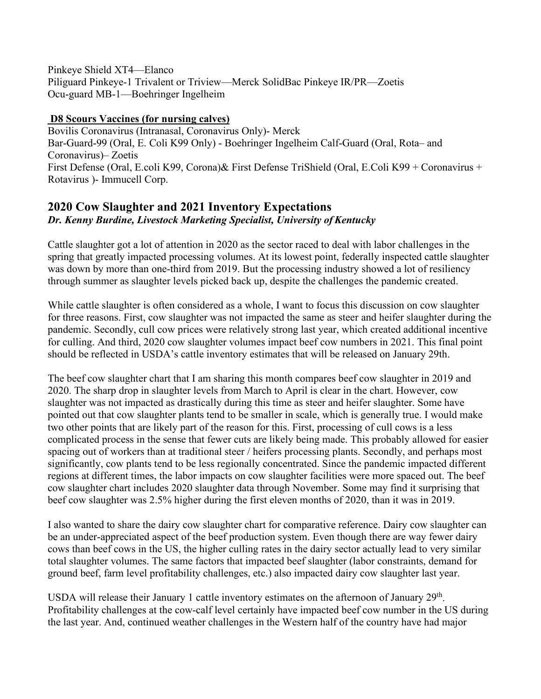Pinkeye Shield XT4—Elanco Piliguard Pinkeye-1 Trivalent or Triview—Merck SolidBac Pinkeye IR/PR—Zoetis Ocu-guard MB-1—Boehringer Ingelheim

## **D8 Scours Vaccines (for nursing calves)**

Bovilis Coronavirus (Intranasal, Coronavirus Only)- Merck Bar-Guard-99 (Oral, E. Coli K99 Only) - Boehringer Ingelheim Calf-Guard (Oral, Rota– and Coronavirus)– Zoetis First Defense (Oral, E.coli K99, Corona)& First Defense TriShield (Oral, E.Coli K99 + Coronavirus + Rotavirus )- Immucell Corp.

## **2020 Cow Slaughter and 2021 Inventory Expectations** *Dr. Kenny Burdine, Livestock Marketing Specialist, University of Kentucky*

Cattle slaughter got a lot of attention in 2020 as the sector raced to deal with labor challenges in the spring that greatly impacted processing volumes. At its lowest point, federally inspected cattle slaughter was down by more than one-third from 2019. But the processing industry showed a lot of resiliency through summer as slaughter levels picked back up, despite the challenges the pandemic created.

While cattle slaughter is often considered as a whole, I want to focus this discussion on cow slaughter for three reasons. First, cow slaughter was not impacted the same as steer and heifer slaughter during the pandemic. Secondly, cull cow prices were relatively strong last year, which created additional incentive for culling. And third, 2020 cow slaughter volumes impact beef cow numbers in 2021. This final point should be reflected in USDA's cattle inventory estimates that will be released on January 29th.

The beef cow slaughter chart that I am sharing this month compares beef cow slaughter in 2019 and 2020. The sharp drop in slaughter levels from March to April is clear in the chart. However, cow slaughter was not impacted as drastically during this time as steer and heifer slaughter. Some have pointed out that cow slaughter plants tend to be smaller in scale, which is generally true. I would make two other points that are likely part of the reason for this. First, processing of cull cows is a less complicated process in the sense that fewer cuts are likely being made. This probably allowed for easier spacing out of workers than at traditional steer / heifers processing plants. Secondly, and perhaps most significantly, cow plants tend to be less regionally concentrated. Since the pandemic impacted different regions at different times, the labor impacts on cow slaughter facilities were more spaced out. The beef cow slaughter chart includes 2020 slaughter data through November. Some may find it surprising that beef cow slaughter was 2.5% higher during the first eleven months of 2020, than it was in 2019.

I also wanted to share the dairy cow slaughter chart for comparative reference. Dairy cow slaughter can be an under-appreciated aspect of the beef production system. Even though there are way fewer dairy cows than beef cows in the US, the higher culling rates in the dairy sector actually lead to very similar total slaughter volumes. The same factors that impacted beef slaughter (labor constraints, demand for ground beef, farm level profitability challenges, etc.) also impacted dairy cow slaughter last year.

USDA will release their January 1 cattle inventory estimates on the afternoon of January 29<sup>th</sup>. Profitability challenges at the cow-calf level certainly have impacted beef cow number in the US during the last year. And, continued weather challenges in the Western half of the country have had major